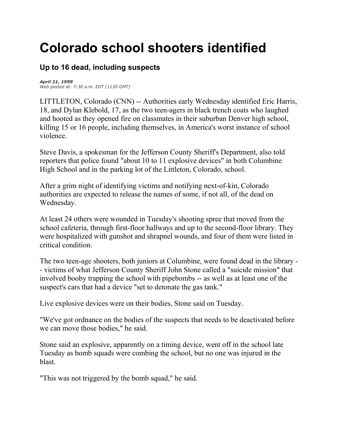# **Colorado school shooters identified**

## **Up to 16 dead, including suspects**

*April 21, 1999 Web posted at: 7:30 a.m. EDT (1130 GMT)*

LITTLETON, Colorado (CNN) -- Authorities early Wednesday identified Eric Harris, 18, and Dylan Klebold, 17, as the two teen-agers in black trench coats who laughed and hooted as they opened fire on classmates in their suburban Denver high school, killing 15 or 16 people, including themselves, in America's worst instance of school violence.

Steve Davis, a spokesman for the Jefferson County Sheriff's Department, also told reporters that police found "about 10 to 11 explosive devices" in both Columbine High School and in the parking lot of the Littleton, Colorado, school.

After a grim night of identifying victims and notifying next-of-kin, Colorado authorities are expected to release the names of some, if not all, of the dead on Wednesday.

At least 24 others were wounded in Tuesday's shooting spree that moved from the school cafeteria, through first-floor hallways and up to the second-floor library. They were hospitalized with gunshot and shrapnel wounds, and four of them were listed in critical condition.

The two teen-age shooters, both juniors at Columbine, were found dead in the library - - victims of what Jefferson County Sheriff John Stone called a "suicide mission" that involved booby trapping the school with pipebombs -- as well as at least one of the suspect's cars that had a device "set to detonate the gas tank."

Live explosive devices were on their bodies, Stone said on Tuesday.

"We've got ordnance on the bodies of the suspects that needs to be deactivated before we can move those bodies," he said.

Stone said an explosive, apparently on a timing device, went off in the school late Tuesday as bomb squads were combing the school, but no one was injured in the blast.

"This was not triggered by the bomb squad," he said.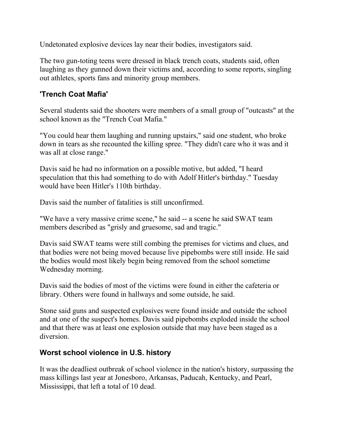Undetonated explosive devices lay near their bodies, investigators said.

The two gun-toting teens were dressed in black trench coats, students said, often laughing as they gunned down their victims and, according to some reports, singling out athletes, sports fans and minority group members.

## **'Trench Coat Mafia'**

Several students said the shooters were members of a small group of "outcasts" at the school known as the "Trench Coat Mafia."

"You could hear them laughing and running upstairs," said one student, who broke down in tears as she recounted the killing spree. "They didn't care who it was and it was all at close range."

Davis said he had no information on a possible motive, but added, "I heard speculation that this had something to do with Adolf Hitler's birthday." Tuesday would have been Hitler's 110th birthday.

Davis said the number of fatalities is still unconfirmed.

"We have a very massive crime scene," he said -- a scene he said SWAT team members described as "grisly and gruesome, sad and tragic."

Davis said SWAT teams were still combing the premises for victims and clues, and that bodies were not being moved because live pipebombs were still inside. He said the bodies would most likely begin being removed from the school sometime Wednesday morning.

Davis said the bodies of most of the victims were found in either the cafeteria or library. Others were found in hallways and some outside, he said.

Stone said guns and suspected explosives were found inside and outside the school and at one of the suspect's homes. Davis said pipebombs exploded inside the school and that there was at least one explosion outside that may have been staged as a diversion.

### **Worst school violence in U.S. history**

It was the deadliest outbreak of school violence in the nation's history, surpassing the mass killings last year at Jonesboro, Arkansas, Paducah, Kentucky, and Pearl, Mississippi, that left a total of 10 dead.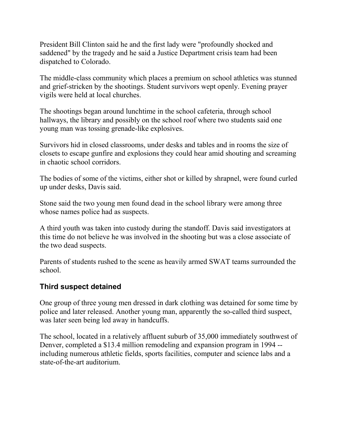President Bill Clinton said he and the first lady were "profoundly shocked and saddened" by the tragedy and he said a Justice Department crisis team had been dispatched to Colorado.

The middle-class community which places a premium on school athletics was stunned and grief-stricken by the shootings. Student survivors wept openly. Evening prayer vigils were held at local churches.

The shootings began around lunchtime in the school cafeteria, through school hallways, the library and possibly on the school roof where two students said one young man was tossing grenade-like explosives.

Survivors hid in closed classrooms, under desks and tables and in rooms the size of closets to escape gunfire and explosions they could hear amid shouting and screaming in chaotic school corridors.

The bodies of some of the victims, either shot or killed by shrapnel, were found curled up under desks, Davis said.

Stone said the two young men found dead in the school library were among three whose names police had as suspects.

A third youth was taken into custody during the standoff. Davis said investigators at this time do not believe he was involved in the shooting but was a close associate of the two dead suspects.

Parents of students rushed to the scene as heavily armed SWAT teams surrounded the school.

### **Third suspect detained**

One group of three young men dressed in dark clothing was detained for some time by police and later released. Another young man, apparently the so-called third suspect, was later seen being led away in handcuffs.

The school, located in a relatively affluent suburb of 35,000 immediately southwest of Denver, completed a \$13.4 million remodeling and expansion program in 1994 - including numerous athletic fields, sports facilities, computer and science labs and a state-of-the-art auditorium.